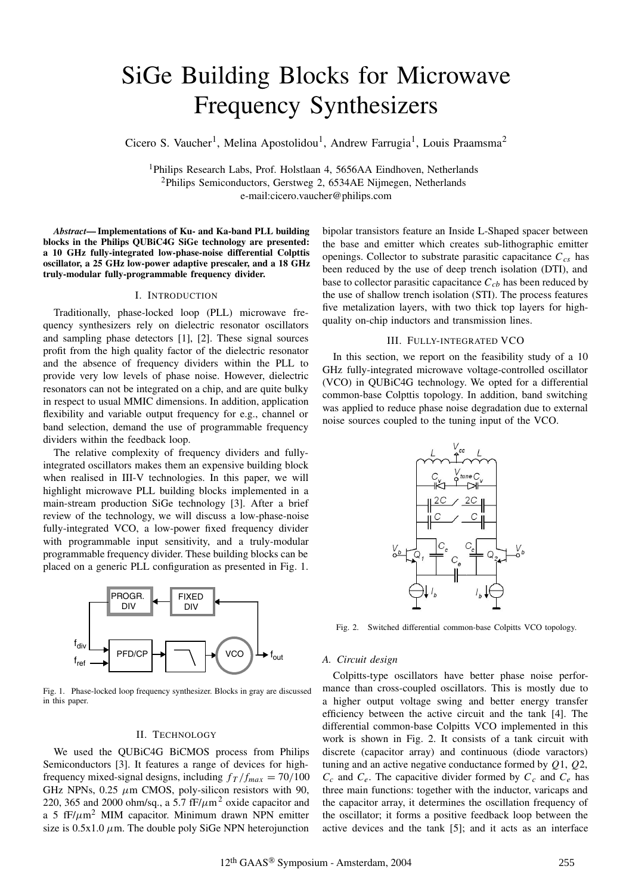# SiGe Building Blocks for Microwave Frequency Synthesizers

Cicero S. Vaucher<sup>1</sup>, Melina Apostolidou<sup>1</sup>, Andrew Farrugia<sup>1</sup>, Louis Praamsma<sup>2</sup>

<sup>1</sup>Philips Research Labs, Prof. Holstlaan 4, 5656AA Eindhoven, Netherlands 2Philips Semiconductors, Gerstweg 2, 6534AE Nijmegen, Netherlands e-mail:cicero.vaucher@philips.com

*Abstract***— Implementations of Ku- and Ka-band PLL building blocks in the Philips QUBiC4G SiGe technology are presented: a 10 GHz fully-integrated low-phase-noise differential Colpttis oscillator, a 25 GHz low-power adaptive prescaler, and a 18 GHz truly-modular fully-programmable frequency divider.**

# I. INTRODUCTION

Traditionally, phase-locked loop (PLL) microwave frequency synthesizers rely on dielectric resonator oscillators and sampling phase detectors [1], [2]. These signal sources profit from the high quality factor of the dielectric resonator and the absence of frequency dividers within the PLL to provide very low levels of phase noise. However, dielectric resonators can not be integrated on a chip, and are quite bulky in respect to usual MMIC dimensions. In addition, application flexibility and variable output frequency for e.g., channel or band selection, demand the use of programmable frequency dividers within the feedback loop.

The relative complexity of frequency dividers and fullyintegrated oscillators makes them an expensive building block when realised in III-V technologies. In this paper, we will highlight microwave PLL building blocks implemented in a main-stream production SiGe technology [3]. After a brief review of the technology, we will discuss a low-phase-noise fully-integrated VCO, a low-power fixed frequency divider with programmable input sensitivity, and a truly-modular programmable frequency divider. These building blocks can be placed on a generic PLL configuration as presented in Fig. 1.



Fig. 1. Phase-locked loop frequency synthesizer. Blocks in gray are discussed in this paper.

#### II. TECHNOLOGY

We used the QUBiC4G BiCMOS process from Philips Semiconductors [3]. It features a range of devices for highfrequency mixed-signal designs, including  $f_T/f_{max} = 70/100$ GHz NPNs,  $0.25 \mu m$  CMOS, poly-silicon resistors with 90, 220, 365 and 2000 ohm/sq., a 5.7  $fF/\mu m^2$  oxide capacitor and a 5  $fF/\mu m^2$  MIM capacitor. Minimum drawn NPN emitter size is  $0.5x1.0 \mu$ m. The double poly SiGe NPN heterojunction bipolar transistors feature an Inside L-Shaped spacer between the base and emitter which creates sub-lithographic emitter openings. Collector to substrate parasitic capacitance  $C_{cs}$  has been reduced by the use of deep trench isolation (DTI), and base to collector parasitic capacitance  $C_{cb}$  has been reduced by the use of shallow trench isolation (STI). The process features five metalization layers, with two thick top layers for highquality on-chip inductors and transmission lines.

#### III. FULLY-INTEGRATED VCO

In this section, we report on the feasibility study of a 10 GHz fully-integrated microwave voltage-controlled oscillator (VCO) in QUBiC4G technology. We opted for a differential common-base Colpttis topology. In addition, band switching was applied to reduce phase noise degradation due to external noise sources coupled to the tuning input of the VCO.



Fig. 2. Switched differential common-base Colpitts VCO topology.

## *A. Circuit design*

Colpitts-type oscillators have better phase noise performance than cross-coupled oscillators. This is mostly due to a higher output voltage swing and better energy transfer efficiency between the active circuit and the tank [4]. The differential common-base Colpitts VCO implemented in this work is shown in Fig. 2. It consists of a tank circuit with discrete (capacitor array) and continuous (diode varactors) tuning and an active negative conductance formed by *Q*1, *Q*2,  $C_c$  and  $C_e$ . The capacitive divider formed by  $C_c$  and  $C_e$  has three main functions: together with the inductor, varicaps and the capacitor array, it determines the oscillation frequency of the oscillator; it forms a positive feedback loop between the active devices and the tank [5]; and it acts as an interface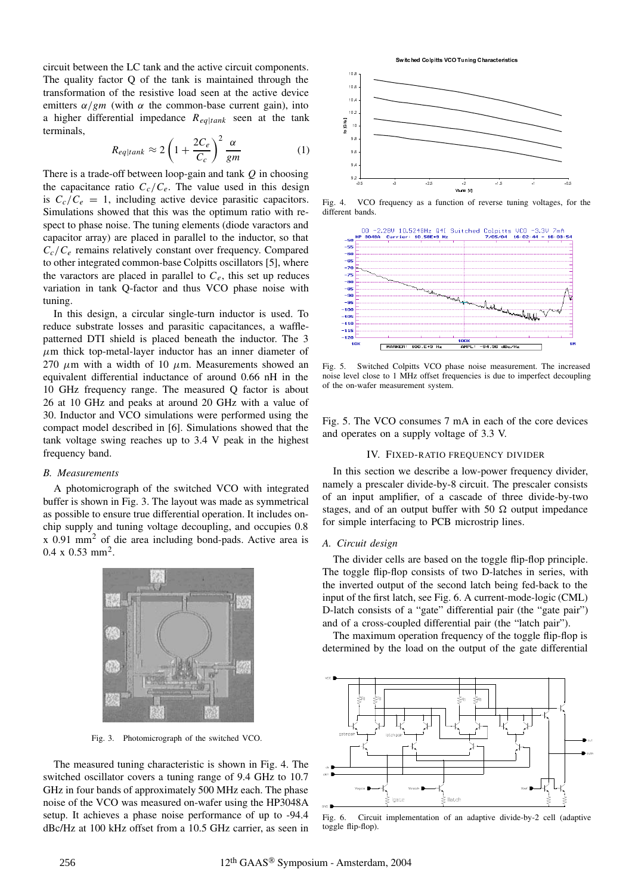circuit between the LC tank and the active circuit components. The quality factor Q of the tank is maintained through the transformation of the resistive load seen at the active device emitters  $\alpha/gm$  (with  $\alpha$  the common-base current gain), into a higher differential impedance *Req*|*tank* seen at the tank terminals,

$$
R_{eq|tank} \approx 2\left(1 + \frac{2C_e}{C_c}\right)^2 \frac{\alpha}{gm} \tag{1}
$$

There is a trade-off between loop-gain and tank *Q* in choosing the capacitance ratio  $C_c/C_e$ . The value used in this design is  $C_c/C_e = 1$ , including active device parasitic capacitors. Simulations showed that this was the optimum ratio with respect to phase noise. The tuning elements (diode varactors and capacitor array) are placed in parallel to the inductor, so that *Cc*/*Ce* remains relatively constant over frequency. Compared to other integrated common-base Colpitts oscillators [5], where the varactors are placed in parallel to  $C_e$ , this set up reduces variation in tank Q-factor and thus VCO phase noise with tuning.

In this design, a circular single-turn inductor is used. To reduce substrate losses and parasitic capacitances, a wafflepatterned DTI shield is placed beneath the inductor. The 3  $\mu$ m thick top-metal-layer inductor has an inner diameter of 270  $\mu$ m with a width of 10  $\mu$ m. Measurements showed an equivalent differential inductance of around 0.66 nH in the 10 GHz frequency range. The measured Q factor is about 26 at 10 GHz and peaks at around 20 GHz with a value of 30. Inductor and VCO simulations were performed using the compact model described in [6]. Simulations showed that the tank voltage swing reaches up to 3.4 V peak in the highest frequency band.

## *B. Measurements*

A photomicrograph of the switched VCO with integrated buffer is shown in Fig. 3. The layout was made as symmetrical as possible to ensure true differential operation. It includes onchip supply and tuning voltage decoupling, and occupies 0.8 x 0.91 mm<sup>2</sup> of die area including bond-pads. Active area is  $0.4 \times 0.53$  mm<sup>2</sup>.



Fig. 3. Photomicrograph of the switched VCO.

The measured tuning characteristic is shown in Fig. 4. The switched oscillator covers a tuning range of 9.4 GHz to 10.7 GHz in four bands of approximately 500 MHz each. The phase noise of the VCO was measured on-wafer using the HP3048A setup. It achieves a phase noise performance of up to -94.4 dBc/Hz at 100 kHz offset from a 10.5 GHz carrier, as seen in





Fig. 4. VCO frequency as a function of reverse tuning voltages, for the different bands.



Fig. 5. Switched Colpitts VCO phase noise measurement. The increased noise level close to 1 MHz offset frequencies is due to imperfect decoupling of the on-wafer measurement system.

Fig. 5. The VCO consumes 7 mA in each of the core devices and operates on a supply voltage of 3.3 V.

# IV. FIXED-RATIO FREQUENCY DIVIDER

In this section we describe a low-power frequency divider, namely a prescaler divide-by-8 circuit. The prescaler consists of an input amplifier, of a cascade of three divide-by-two stages, and of an output buffer with 50  $\Omega$  output impedance for simple interfacing to PCB microstrip lines.

# *A. Circuit design*

The divider cells are based on the toggle flip-flop principle. The toggle flip-flop consists of two D-latches in series, with the inverted output of the second latch being fed-back to the input of the first latch, see Fig. 6. A current-mode-logic (CML) D-latch consists of a "gate" differential pair (the "gate pair") and of a cross-coupled differential pair (the "latch pair").

The maximum operation frequency of the toggle flip-flop is determined by the load on the output of the gate differential



Fig. 6. Circuit implementation of an adaptive divide-by-2 cell (adaptive toggle flip-flop).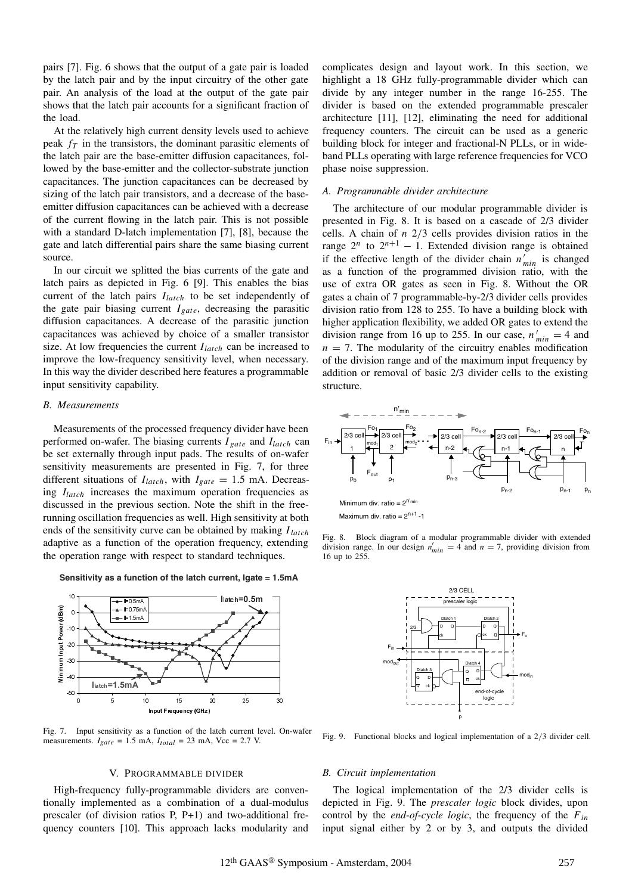pairs [7]. Fig. 6 shows that the output of a gate pair is loaded by the latch pair and by the input circuitry of the other gate pair. An analysis of the load at the output of the gate pair shows that the latch pair accounts for a significant fraction of the load.

At the relatively high current density levels used to achieve peak  $f<sub>T</sub>$  in the transistors, the dominant parasitic elements of the latch pair are the base-emitter diffusion capacitances, followed by the base-emitter and the collector-substrate junction capacitances. The junction capacitances can be decreased by sizing of the latch pair transistors, and a decrease of the baseemitter diffusion capacitances can be achieved with a decrease of the current flowing in the latch pair. This is not possible with a standard D-latch implementation [7], [8], because the gate and latch differential pairs share the same biasing current source.

In our circuit we splitted the bias currents of the gate and latch pairs as depicted in Fig. 6 [9]. This enables the bias current of the latch pairs *Ilatch* to be set independently of the gate pair biasing current *Igate*, decreasing the parasitic diffusion capacitances. A decrease of the parasitic junction capacitances was achieved by choice of a smaller transistor size. At low frequencies the current *Ilatch* can be increased to improve the low-frequency sensitivity level, when necessary. In this way the divider described here features a programmable input sensitivity capability.

# *B. Measurements*

Measurements of the processed frequency divider have been performed on-wafer. The biasing currents *I gate* and *Ilatch* can be set externally through input pads. The results of on-wafer sensitivity measurements are presented in Fig. 7, for three different situations of  $I_{latch}$ , with  $I_{gate} = 1.5$  mA. Decreasing *Ilatch* increases the maximum operation frequencies as discussed in the previous section. Note the shift in the freerunning oscillation frequencies as well. High sensitivity at both ends of the sensitivity curve can be obtained by making *Ilatch* adaptive as a function of the operation frequency, extending the operation range with respect to standard techniques.

**Sensitivity as a function of the latch current, Igate = 1.5mA** 



Fig. 7. Input sensitivity as a function of the latch current level. On-wafer measurements.  $I_{gate} = 1.5 \text{ mA}$ ,  $I_{total} = 23 \text{ mA}$ , Vcc = 2.7 V.

## V. PROGRAMMABLE DIVIDER

High-frequency fully-programmable dividers are conventionally implemented as a combination of a dual-modulus prescaler (of division ratios P, P+1) and two-additional frequency counters [10]. This approach lacks modularity and complicates design and layout work. In this section, we highlight a 18 GHz fully-programmable divider which can divide by any integer number in the range 16-255. The divider is based on the extended programmable prescaler architecture [11], [12], eliminating the need for additional frequency counters. The circuit can be used as a generic building block for integer and fractional-N PLLs, or in wideband PLLs operating with large reference frequencies for VCO phase noise suppression.

## *A. Programmable divider architecture*

The architecture of our modular programmable divider is presented in Fig. 8. It is based on a cascade of 2/3 divider cells. A chain of *n* 2/3 cells provides division ratios in the range  $2^n$  to  $2^{n+1} - 1$ . Extended division range is obtained if the effective length of the divider chain  $n'_{min}$  is changed as a function of the programmed division ratio, with the use of extra OR gates as seen in Fig. 8. Without the OR gates a chain of 7 programmable-by-2/3 divider cells provides division ratio from 128 to 255. To have a building block with higher application flexibility, we added OR gates to extend the division range from 16 up to 255. In our case,  $n'_{min} = 4$  and  $n = 7$ . The modularity of the circuitry enables modification of the division range and of the maximum input frequency by addition or removal of basic 2/3 divider cells to the existing structure.



Fig. 8. Block diagram of a modular programmable divider with extended division range. In our design  $n'_{min} = 4$  and  $n = 7$ , providing division from 16 up to 255.



Fig. 9. Functional blocks and logical implementation of a 2/3 divider cell.

## *B. Circuit implementation*

The logical implementation of the 2/3 divider cells is depicted in Fig. 9. The *prescaler logic* block divides, upon control by the *end-of-cycle logic*, the frequency of the *Fin* input signal either by 2 or by 3, and outputs the divided